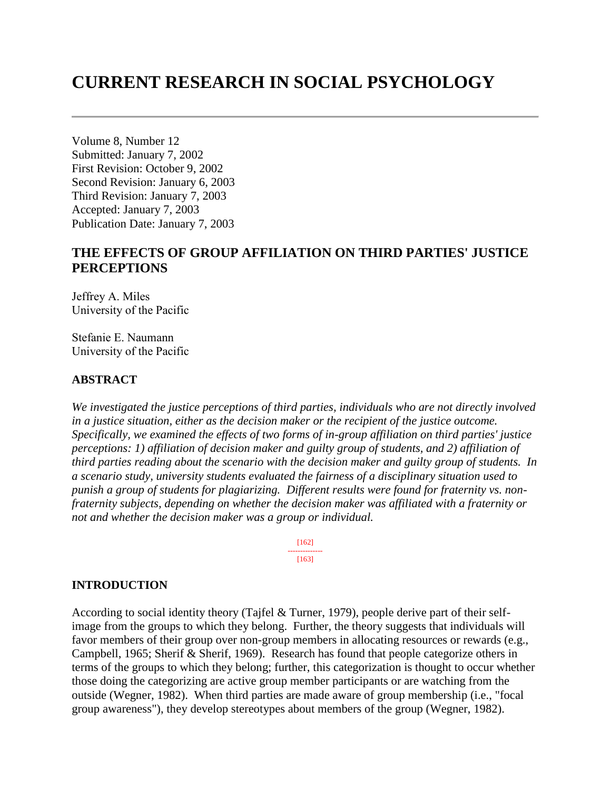# **CURRENT RESEARCH IN SOCIAL PSYCHOLOGY**

Volume 8, Number 12 Submitted: January 7, 2002 First Revision: October 9, 2002 Second Revision: January 6, 2003 Third Revision: January 7, 2003 Accepted: January 7, 2003 Publication Date: January 7, 2003

# **THE EFFECTS OF GROUP AFFILIATION ON THIRD PARTIES' JUSTICE PERCEPTIONS**

Jeffrey A. Miles University of the Pacific

Stefanie E. Naumann University of the Pacific

### **ABSTRACT**

*We investigated the justice perceptions of third parties, individuals who are not directly involved in a justice situation, either as the decision maker or the recipient of the justice outcome. Specifically, we examined the effects of two forms of in-group affiliation on third parties' justice perceptions: 1) affiliation of decision maker and guilty group of students, and 2) affiliation of third parties reading about the scenario with the decision maker and guilty group of students. In a scenario study, university students evaluated the fairness of a disciplinary situation used to punish a group of students for plagiarizing. Different results were found for fraternity vs. nonfraternity subjects, depending on whether the decision maker was affiliated with a fraternity or not and whether the decision maker was a group or individual.*

> [162] -------------- [163]

### **INTRODUCTION**

According to social identity theory (Tajfel & Turner, 1979), people derive part of their selfimage from the groups to which they belong. Further, the theory suggests that individuals will favor members of their group over non-group members in allocating resources or rewards (e.g., Campbell, 1965; Sherif & Sherif, 1969). Research has found that people categorize others in terms of the groups to which they belong; further, this categorization is thought to occur whether those doing the categorizing are active group member participants or are watching from the outside (Wegner, 1982). When third parties are made aware of group membership (i.e., "focal group awareness"), they develop stereotypes about members of the group (Wegner, 1982).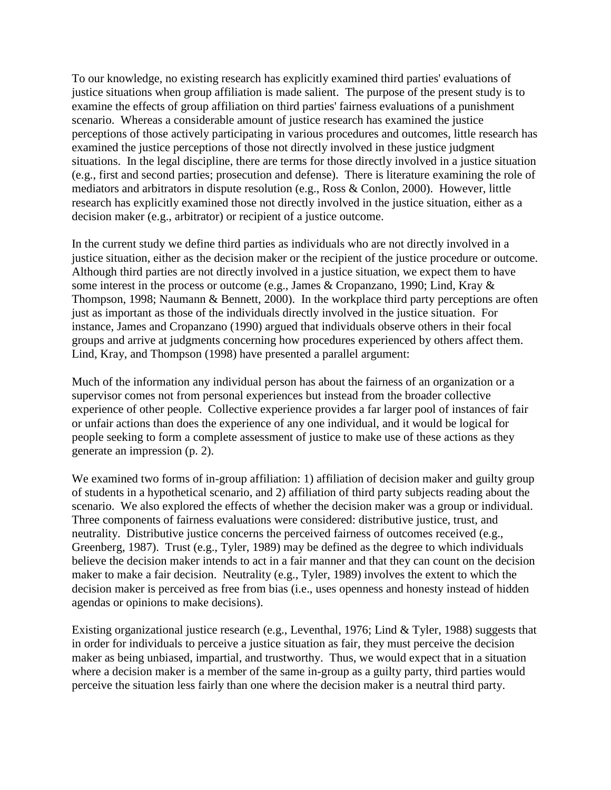To our knowledge, no existing research has explicitly examined third parties' evaluations of justice situations when group affiliation is made salient. The purpose of the present study is to examine the effects of group affiliation on third parties' fairness evaluations of a punishment scenario. Whereas a considerable amount of justice research has examined the justice perceptions of those actively participating in various procedures and outcomes, little research has examined the justice perceptions of those not directly involved in these justice judgment situations. In the legal discipline, there are terms for those directly involved in a justice situation (e.g., first and second parties; prosecution and defense). There is literature examining the role of mediators and arbitrators in dispute resolution (e.g., Ross & Conlon, 2000). However, little research has explicitly examined those not directly involved in the justice situation, either as a decision maker (e.g., arbitrator) or recipient of a justice outcome.

In the current study we define third parties as individuals who are not directly involved in a justice situation, either as the decision maker or the recipient of the justice procedure or outcome. Although third parties are not directly involved in a justice situation, we expect them to have some interest in the process or outcome (e.g., James & Cropanzano, 1990; Lind, Kray & Thompson, 1998; Naumann & Bennett, 2000). In the workplace third party perceptions are often just as important as those of the individuals directly involved in the justice situation. For instance, James and Cropanzano (1990) argued that individuals observe others in their focal groups and arrive at judgments concerning how procedures experienced by others affect them. Lind, Kray, and Thompson (1998) have presented a parallel argument:

Much of the information any individual person has about the fairness of an organization or a supervisor comes not from personal experiences but instead from the broader collective experience of other people. Collective experience provides a far larger pool of instances of fair or unfair actions than does the experience of any one individual, and it would be logical for people seeking to form a complete assessment of justice to make use of these actions as they generate an impression (p. 2).

We examined two forms of in-group affiliation: 1) affiliation of decision maker and guilty group of students in a hypothetical scenario, and 2) affiliation of third party subjects reading about the scenario. We also explored the effects of whether the decision maker was a group or individual. Three components of fairness evaluations were considered: distributive justice, trust, and neutrality. Distributive justice concerns the perceived fairness of outcomes received (e.g., Greenberg, 1987). Trust (e.g., Tyler, 1989) may be defined as the degree to which individuals believe the decision maker intends to act in a fair manner and that they can count on the decision maker to make a fair decision. Neutrality (e.g., Tyler, 1989) involves the extent to which the decision maker is perceived as free from bias (i.e., uses openness and honesty instead of hidden agendas or opinions to make decisions).

Existing organizational justice research (e.g., Leventhal, 1976; Lind & Tyler, 1988) suggests that in order for individuals to perceive a justice situation as fair, they must perceive the decision maker as being unbiased, impartial, and trustworthy. Thus, we would expect that in a situation where a decision maker is a member of the same in-group as a guilty party, third parties would perceive the situation less fairly than one where the decision maker is a neutral third party.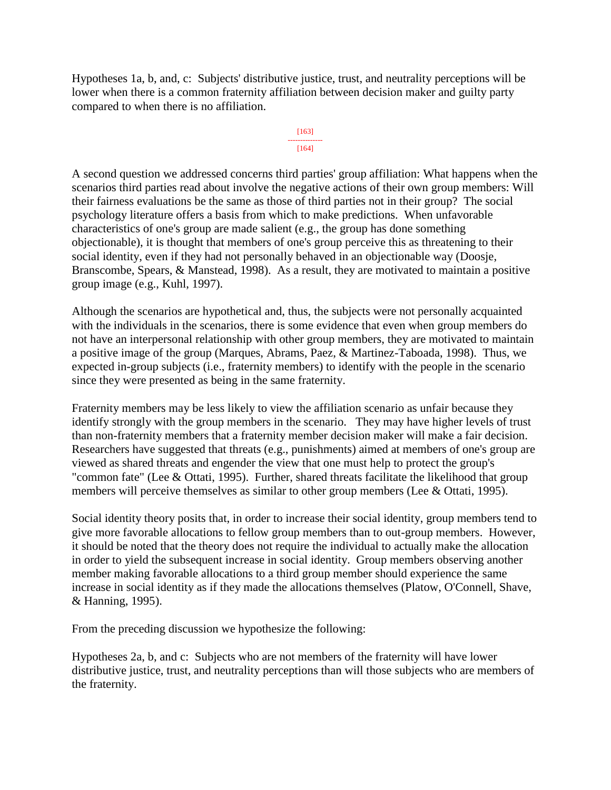Hypotheses 1a, b, and, c: Subjects' distributive justice, trust, and neutrality perceptions will be lower when there is a common fraternity affiliation between decision maker and guilty party compared to when there is no affiliation.

### [163] -------------- [164]

A second question we addressed concerns third parties' group affiliation: What happens when the scenarios third parties read about involve the negative actions of their own group members: Will their fairness evaluations be the same as those of third parties not in their group? The social psychology literature offers a basis from which to make predictions. When unfavorable characteristics of one's group are made salient (e.g., the group has done something objectionable), it is thought that members of one's group perceive this as threatening to their social identity, even if they had not personally behaved in an objectionable way (Doosje, Branscombe, Spears, & Manstead, 1998). As a result, they are motivated to maintain a positive group image (e.g., Kuhl, 1997).

Although the scenarios are hypothetical and, thus, the subjects were not personally acquainted with the individuals in the scenarios, there is some evidence that even when group members do not have an interpersonal relationship with other group members, they are motivated to maintain a positive image of the group (Marques, Abrams, Paez, & Martinez-Taboada, 1998). Thus, we expected in-group subjects (i.e., fraternity members) to identify with the people in the scenario since they were presented as being in the same fraternity.

Fraternity members may be less likely to view the affiliation scenario as unfair because they identify strongly with the group members in the scenario. They may have higher levels of trust than non-fraternity members that a fraternity member decision maker will make a fair decision. Researchers have suggested that threats (e.g., punishments) aimed at members of one's group are viewed as shared threats and engender the view that one must help to protect the group's "common fate" (Lee & Ottati, 1995). Further, shared threats facilitate the likelihood that group members will perceive themselves as similar to other group members (Lee & Ottati, 1995).

Social identity theory posits that, in order to increase their social identity, group members tend to give more favorable allocations to fellow group members than to out-group members. However, it should be noted that the theory does not require the individual to actually make the allocation in order to yield the subsequent increase in social identity. Group members observing another member making favorable allocations to a third group member should experience the same increase in social identity as if they made the allocations themselves (Platow, O'Connell, Shave, & Hanning, 1995).

From the preceding discussion we hypothesize the following:

Hypotheses 2a, b, and c: Subjects who are not members of the fraternity will have lower distributive justice, trust, and neutrality perceptions than will those subjects who are members of the fraternity.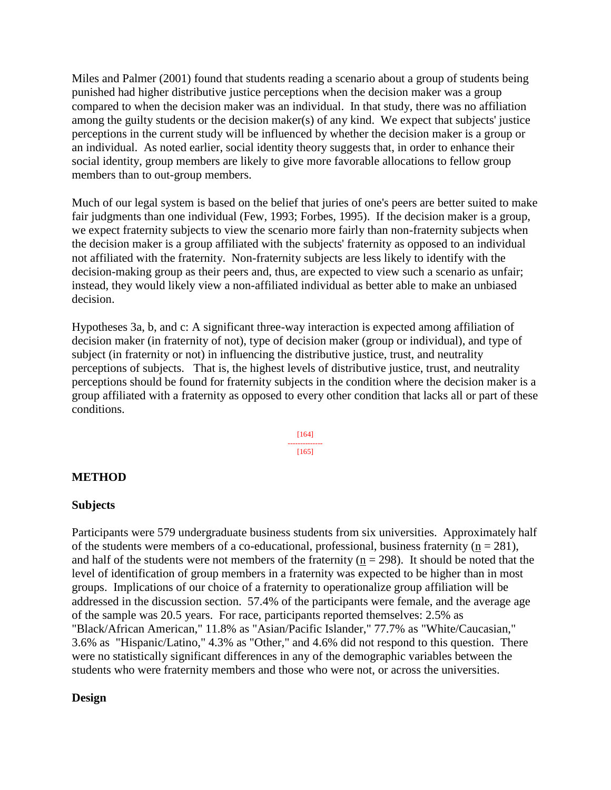Miles and Palmer (2001) found that students reading a scenario about a group of students being punished had higher distributive justice perceptions when the decision maker was a group compared to when the decision maker was an individual. In that study, there was no affiliation among the guilty students or the decision maker(s) of any kind. We expect that subjects' justice perceptions in the current study will be influenced by whether the decision maker is a group or an individual. As noted earlier, social identity theory suggests that, in order to enhance their social identity, group members are likely to give more favorable allocations to fellow group members than to out-group members.

Much of our legal system is based on the belief that juries of one's peers are better suited to make fair judgments than one individual (Few, 1993; Forbes, 1995). If the decision maker is a group, we expect fraternity subjects to view the scenario more fairly than non-fraternity subjects when the decision maker is a group affiliated with the subjects' fraternity as opposed to an individual not affiliated with the fraternity. Non-fraternity subjects are less likely to identify with the decision-making group as their peers and, thus, are expected to view such a scenario as unfair; instead, they would likely view a non-affiliated individual as better able to make an unbiased decision.

Hypotheses 3a, b, and c: A significant three-way interaction is expected among affiliation of decision maker (in fraternity of not), type of decision maker (group or individual), and type of subject (in fraternity or not) in influencing the distributive justice, trust, and neutrality perceptions of subjects. That is, the highest levels of distributive justice, trust, and neutrality perceptions should be found for fraternity subjects in the condition where the decision maker is a group affiliated with a fraternity as opposed to every other condition that lacks all or part of these conditions.

> [164] -------------- [165]

### **METHOD**

### **Subjects**

Participants were 579 undergraduate business students from six universities. Approximately half of the students were members of a co-educational, professional, business fraternity ( $n = 281$ ), and half of the students were not members of the fraternity ( $n = 298$ ). It should be noted that the level of identification of group members in a fraternity was expected to be higher than in most groups. Implications of our choice of a fraternity to operationalize group affiliation will be addressed in the discussion section. 57.4% of the participants were female, and the average age of the sample was 20.5 years. For race, participants reported themselves: 2.5% as "Black/African American," 11.8% as "Asian/Pacific Islander," 77.7% as "White/Caucasian," 3.6% as "Hispanic/Latino," 4.3% as "Other," and 4.6% did not respond to this question. There were no statistically significant differences in any of the demographic variables between the students who were fraternity members and those who were not, or across the universities.

### **Design**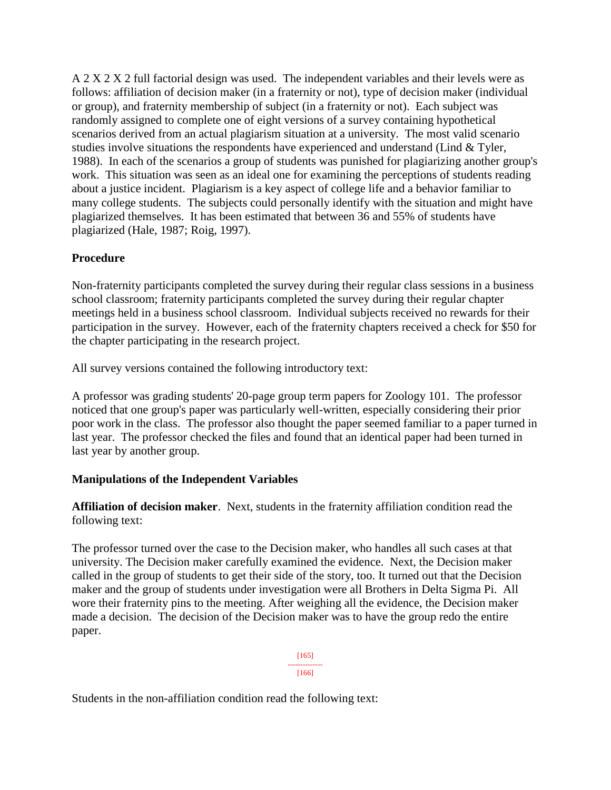A 2 X 2 X 2 full factorial design was used. The independent variables and their levels were as follows: affiliation of decision maker (in a fraternity or not), type of decision maker (individual or group), and fraternity membership of subject (in a fraternity or not). Each subject was randomly assigned to complete one of eight versions of a survey containing hypothetical scenarios derived from an actual plagiarism situation at a university. The most valid scenario studies involve situations the respondents have experienced and understand (Lind & Tyler, 1988). In each of the scenarios a group of students was punished for plagiarizing another group's work. This situation was seen as an ideal one for examining the perceptions of students reading about a justice incident. Plagiarism is a key aspect of college life and a behavior familiar to many college students. The subjects could personally identify with the situation and might have plagiarized themselves. It has been estimated that between 36 and 55% of students have plagiarized (Hale, 1987; Roig, 1997).

## **Procedure**

Non-fraternity participants completed the survey during their regular class sessions in a business school classroom; fraternity participants completed the survey during their regular chapter meetings held in a business school classroom. Individual subjects received no rewards for their participation in the survey. However, each of the fraternity chapters received a check for \$50 for the chapter participating in the research project.

All survey versions contained the following introductory text:

A professor was grading students' 20-page group term papers for Zoology 101. The professor noticed that one group's paper was particularly well-written, especially considering their prior poor work in the class. The professor also thought the paper seemed familiar to a paper turned in last year. The professor checked the files and found that an identical paper had been turned in last year by another group.

## **Manipulations of the Independent Variables**

**Affiliation of decision maker**. Next, students in the fraternity affiliation condition read the following text:

The professor turned over the case to the Decision maker, who handles all such cases at that university. The Decision maker carefully examined the evidence. Next, the Decision maker called in the group of students to get their side of the story, too. It turned out that the Decision maker and the group of students under investigation were all Brothers in Delta Sigma Pi. All wore their fraternity pins to the meeting. After weighing all the evidence, the Decision maker made a decision. The decision of the Decision maker was to have the group redo the entire paper.

> [165] -------------- [166]

Students in the non-affiliation condition read the following text: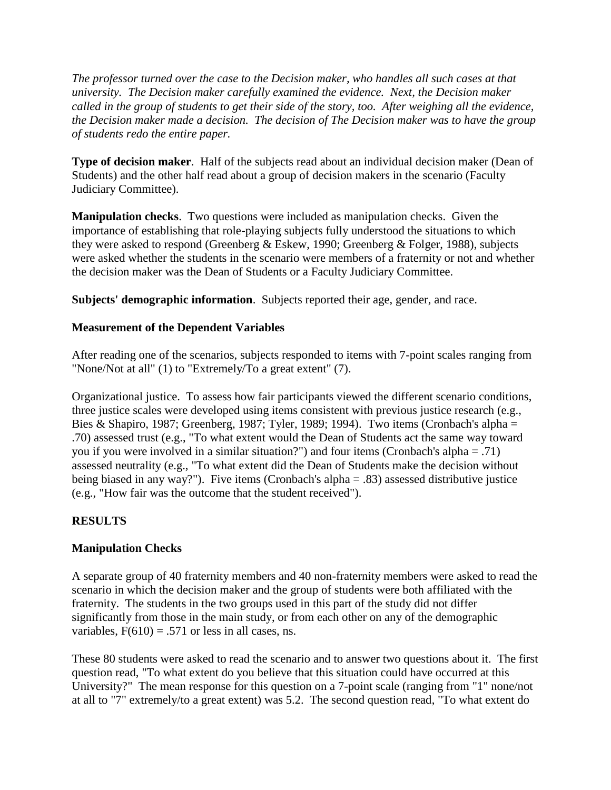*The professor turned over the case to the Decision maker, who handles all such cases at that university. The Decision maker carefully examined the evidence. Next, the Decision maker called in the group of students to get their side of the story, too. After weighing all the evidence, the Decision maker made a decision. The decision of The Decision maker was to have the group of students redo the entire paper.*

**Type of decision maker**. Half of the subjects read about an individual decision maker (Dean of Students) and the other half read about a group of decision makers in the scenario (Faculty Judiciary Committee).

**Manipulation checks**. Two questions were included as manipulation checks. Given the importance of establishing that role-playing subjects fully understood the situations to which they were asked to respond (Greenberg & Eskew, 1990; Greenberg & Folger, 1988), subjects were asked whether the students in the scenario were members of a fraternity or not and whether the decision maker was the Dean of Students or a Faculty Judiciary Committee.

**Subjects' demographic information**. Subjects reported their age, gender, and race.

### **Measurement of the Dependent Variables**

After reading one of the scenarios, subjects responded to items with 7-point scales ranging from "None/Not at all" (1) to "Extremely/To a great extent" (7).

Organizational justice. To assess how fair participants viewed the different scenario conditions, three justice scales were developed using items consistent with previous justice research (e.g., Bies & Shapiro, 1987; Greenberg, 1987; Tyler, 1989; 1994). Two items (Cronbach's alpha = .70) assessed trust (e.g., "To what extent would the Dean of Students act the same way toward you if you were involved in a similar situation?") and four items (Cronbach's alpha = .71) assessed neutrality (e.g., "To what extent did the Dean of Students make the decision without being biased in any way?"). Five items (Cronbach's alpha = .83) assessed distributive justice (e.g., "How fair was the outcome that the student received").

## **RESULTS**

## **Manipulation Checks**

A separate group of 40 fraternity members and 40 non-fraternity members were asked to read the scenario in which the decision maker and the group of students were both affiliated with the fraternity. The students in the two groups used in this part of the study did not differ significantly from those in the main study, or from each other on any of the demographic variables,  $F(610) = .571$  or less in all cases, ns.

These 80 students were asked to read the scenario and to answer two questions about it. The first question read, "To what extent do you believe that this situation could have occurred at this University?" The mean response for this question on a 7-point scale (ranging from "1" none/not at all to "7" extremely/to a great extent) was 5.2. The second question read, "To what extent do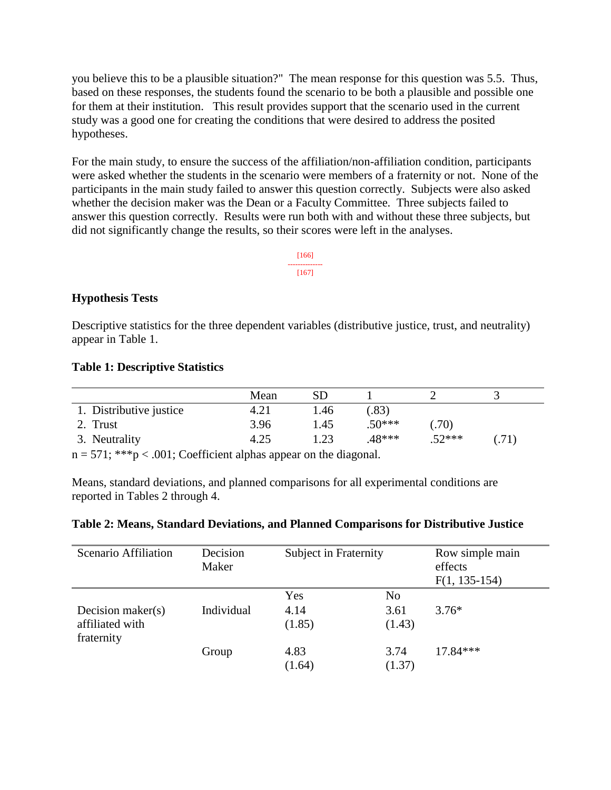you believe this to be a plausible situation?" The mean response for this question was 5.5. Thus, based on these responses, the students found the scenario to be both a plausible and possible one for them at their institution. This result provides support that the scenario used in the current study was a good one for creating the conditions that were desired to address the posited hypotheses.

For the main study, to ensure the success of the affiliation/non-affiliation condition, participants were asked whether the students in the scenario were members of a fraternity or not. None of the participants in the main study failed to answer this question correctly. Subjects were also asked whether the decision maker was the Dean or a Faculty Committee. Three subjects failed to answer this question correctly. Results were run both with and without these three subjects, but did not significantly change the results, so their scores were left in the analyses.

### [166] -------------- [167]

## **Hypothesis Tests**

Descriptive statistics for the three dependent variables (distributive justice, trust, and neutrality) appear in Table 1.

### **Table 1: Descriptive Statistics**

|                         | Mean |      |          |          |       |
|-------------------------|------|------|----------|----------|-------|
| 1. Distributive justice | 4.21 | 1.46 | .83)     |          |       |
| 2. Trust                | 3.96 | 1.45 | $.50***$ | .70)     |       |
| 3. Neutrality           | 4.25 | .23  | $.48***$ | $.52***$ | (.71) |

 $n = 571$ ; \*\*\*p < .001; Coefficient alphas appear on the diagonal.

Means, standard deviations, and planned comparisons for all experimental conditions are reported in Tables 2 through 4.

### **Table 2: Means, Standard Deviations, and Planned Comparisons for Distributive Justice**

| Scenario Affiliation                                  | Decision<br>Maker | Subject in Fraternity |                                  | Row simple main<br>effects<br>$F(1, 135-154)$ |  |
|-------------------------------------------------------|-------------------|-----------------------|----------------------------------|-----------------------------------------------|--|
| Decision maker $(s)$<br>affiliated with<br>fraternity | Individual        | Yes<br>4.14<br>(1.85) | N <sub>0</sub><br>3.61<br>(1.43) | $3.76*$                                       |  |
|                                                       | Group             | 4.83<br>(1.64)        | 3.74<br>(1.37)                   | $17.84***$                                    |  |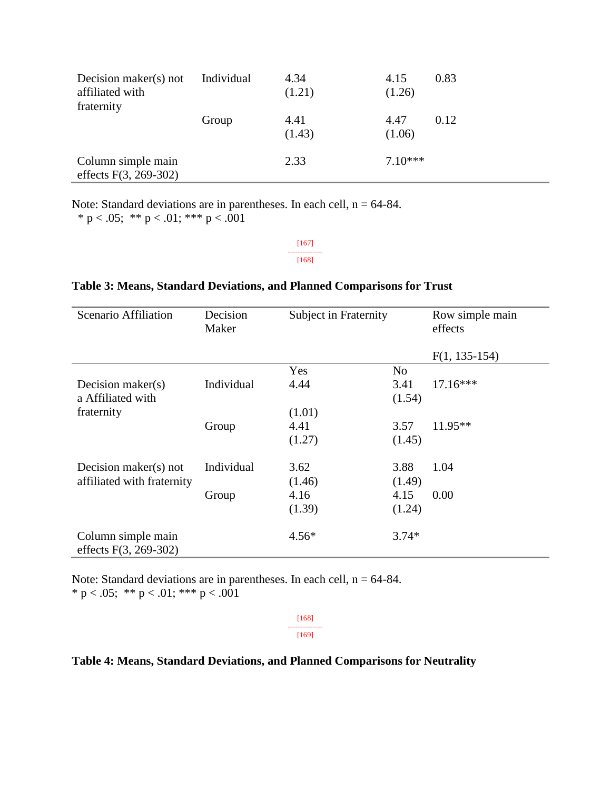| Decision maker(s) not<br>affiliated with<br>fraternity | Individual | 4.34<br>(1.21) | 4.15<br>(1.26) | 0.83 |
|--------------------------------------------------------|------------|----------------|----------------|------|
|                                                        | Group      | 4.41<br>(1.43) | 4.47<br>(1.06) | 0.12 |
| Column simple main<br>effects $F(3, 269-302)$          |            | 2.33           | $7.10***$      |      |

Note: Standard deviations are in parentheses. In each cell,  $n = 64-84$ .

\* p < .05; \*\* p < .01; \*\*\* p < .001

[167] -------------- [168]

#### Scenario Affiliation Decision Maker Subject in Fraternity Row simple main effects F(1, 135-154) Yes No Decision maker(s) a Affiliated with fraternity Individual 4.44 (1.01) 3.41 (1.54) 17.16\*\*\* Group 4.41 (1.27) 3.57 (1.45) 11.95\*\* Decision maker(s) not affiliated with fraternity Individual 3.62 (1.46) 3.88 (1.49) 1.04 Group 4.16 (1.39) 4.15 (1.24) 0.00 Column simple main effects F(3, 269-302) 4.56\* 3.74\*

### **Table 3: Means, Standard Deviations, and Planned Comparisons for Trust**

Note: Standard deviations are in parentheses. In each cell,  $n = 64-84$ . \* p < .05; \*\* p < .01; \*\*\* p < .001

> [168] -------------- [169]

### **Table 4: Means, Standard Deviations, and Planned Comparisons for Neutrality**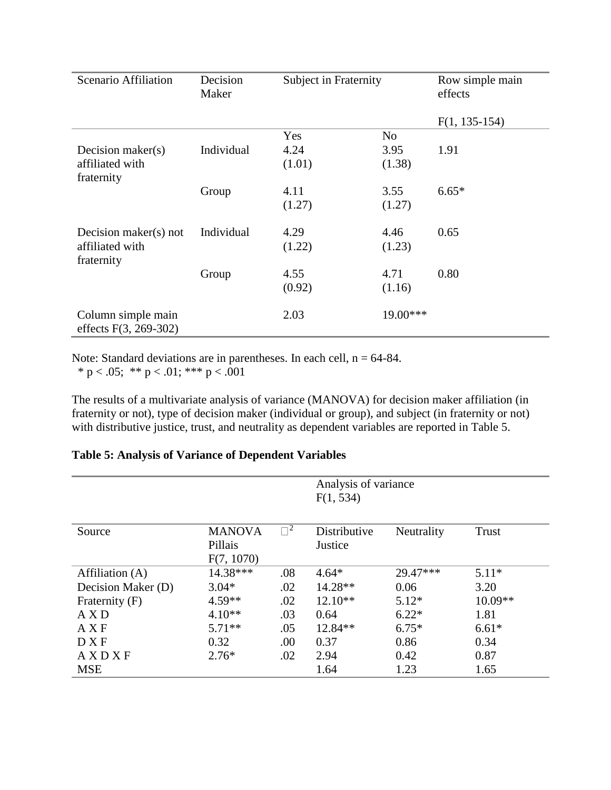| Scenario Affiliation                          | Decision<br>Maker | <b>Subject in Fraternity</b> |          | Row simple main<br>effects |  |
|-----------------------------------------------|-------------------|------------------------------|----------|----------------------------|--|
|                                               |                   |                              |          | $F(1, 135-154)$            |  |
|                                               |                   | Yes                          | No       |                            |  |
| Decision maker $(s)$                          | Individual        | 4.24                         | 3.95     | 1.91                       |  |
| affiliated with<br>fraternity                 |                   | (1.01)                       | (1.38)   |                            |  |
|                                               | Group             | 4.11                         | 3.55     | $6.65*$                    |  |
|                                               |                   | (1.27)                       | (1.27)   |                            |  |
| Decision maker(s) not                         | Individual        | 4.29                         | 4.46     | 0.65                       |  |
| affiliated with<br>fraternity                 |                   | (1.22)                       | (1.23)   |                            |  |
|                                               | Group             | 4.55                         | 4.71     | 0.80                       |  |
|                                               |                   | (0.92)                       | (1.16)   |                            |  |
| Column simple main<br>effects $F(3, 269-302)$ |                   | 2.03                         | 19.00*** |                            |  |

Note: Standard deviations are in parentheses. In each cell,  $n = 64-84$ .

\* p < .05; \*\* p < .01; \*\*\* p < .001

The results of a multivariate analysis of variance (MANOVA) for decision maker affiliation (in fraternity or not), type of decision maker (individual or group), and subject (in fraternity or not) with distributive justice, trust, and neutrality as dependent variables are reported in Table 5.

|                    |                                        |          | Analysis of variance<br>F(1, 534) |            |           |
|--------------------|----------------------------------------|----------|-----------------------------------|------------|-----------|
| Source             | <b>MANOVA</b><br>Pillais<br>F(7, 1070) | $\Box^2$ | Distributive<br>Justice           | Neutrality | Trust     |
| Affiliation (A)    | 14.38***                               | .08      | $4.64*$                           | 29.47***   | $5.11*$   |
| Decision Maker (D) | $3.04*$                                | .02      | $14.28**$                         | 0.06       | 3.20      |
| Fraternity (F)     | $4.59**$                               | .02      | $12.10**$                         | $5.12*$    | $10.09**$ |
| AXD                | $4.10**$                               | .03      | 0.64                              | $6.22*$    | 1.81      |
| AXF                | $5.71**$                               | .05      | $12.84**$                         | $6.75*$    | $6.61*$   |
| <b>DXF</b>         | 0.32                                   | .00      | 0.37                              | 0.86       | 0.34      |
| AXDXF              | $2.76*$                                | .02      | 2.94                              | 0.42       | 0.87      |
| <b>MSE</b>         |                                        |          | 1.64                              | 1.23       | 1.65      |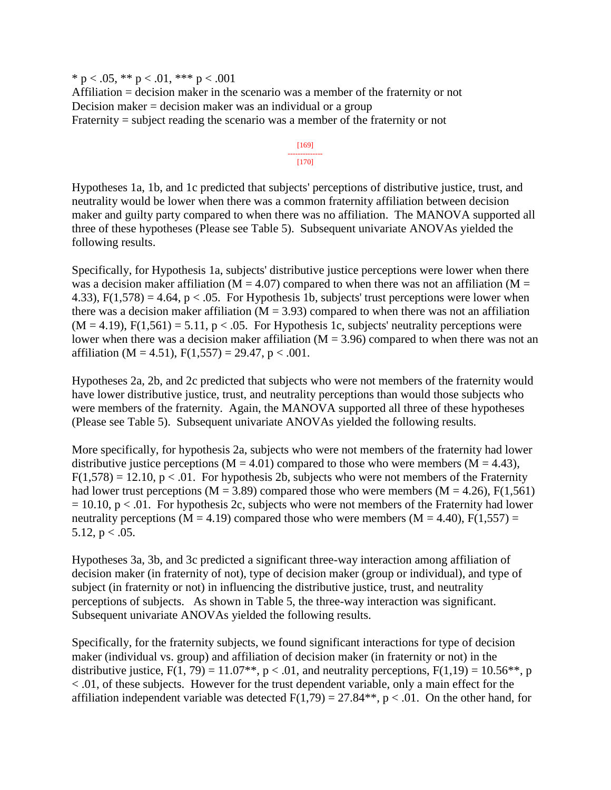\* p < .05, \*\* p < .01, \*\*\* p < .001 Affiliation = decision maker in the scenario was a member of the fraternity or not Decision maker  $=$  decision maker was an individual or a group Fraternity = subject reading the scenario was a member of the fraternity or not

> [169] -------------- [170]

Hypotheses 1a, 1b, and 1c predicted that subjects' perceptions of distributive justice, trust, and neutrality would be lower when there was a common fraternity affiliation between decision maker and guilty party compared to when there was no affiliation. The MANOVA supported all three of these hypotheses (Please see Table 5). Subsequent univariate ANOVAs yielded the following results.

Specifically, for Hypothesis 1a, subjects' distributive justice perceptions were lower when there was a decision maker affiliation ( $M = 4.07$ ) compared to when there was not an affiliation ( $M =$ 4.33),  $F(1,578) = 4.64$ ,  $p < .05$ . For Hypothesis 1b, subjects' trust perceptions were lower when there was a decision maker affiliation ( $M = 3.93$ ) compared to when there was not an affiliation  $(M = 4.19)$ ,  $F(1,561) = 5.11$ ,  $p < .05$ . For Hypothesis 1c, subjects' neutrality perceptions were lower when there was a decision maker affiliation ( $M = 3.96$ ) compared to when there was not an affiliation (M = 4.51),  $F(1,557) = 29.47$ , p < .001.

Hypotheses 2a, 2b, and 2c predicted that subjects who were not members of the fraternity would have lower distributive justice, trust, and neutrality perceptions than would those subjects who were members of the fraternity. Again, the MANOVA supported all three of these hypotheses (Please see Table 5). Subsequent univariate ANOVAs yielded the following results.

More specifically, for hypothesis 2a, subjects who were not members of the fraternity had lower distributive justice perceptions ( $M = 4.01$ ) compared to those who were members ( $M = 4.43$ ),  $F(1,578) = 12.10$ ,  $p < .01$ . For hypothesis 2b, subjects who were not members of the Fraternity had lower trust perceptions ( $M = 3.89$ ) compared those who were members ( $M = 4.26$ ),  $F(1,561)$  $= 10.10$ , p < .01. For hypothesis 2c, subjects who were not members of the Fraternity had lower neutrality perceptions (M = 4.19) compared those who were members (M = 4.40),  $F(1,557)$  = 5.12,  $p < .05$ .

Hypotheses 3a, 3b, and 3c predicted a significant three-way interaction among affiliation of decision maker (in fraternity of not), type of decision maker (group or individual), and type of subject (in fraternity or not) in influencing the distributive justice, trust, and neutrality perceptions of subjects. As shown in Table 5, the three-way interaction was significant. Subsequent univariate ANOVAs yielded the following results.

Specifically, for the fraternity subjects, we found significant interactions for type of decision maker (individual vs. group) and affiliation of decision maker (in fraternity or not) in the distributive justice,  $F(1, 79) = 11.07**$ ,  $p < .01$ , and neutrality perceptions,  $F(1,19) = 10.56**$ , p < .01, of these subjects. However for the trust dependent variable, only a main effect for the affiliation independent variable was detected  $F(1,79) = 27.84**$ , p < .01. On the other hand, for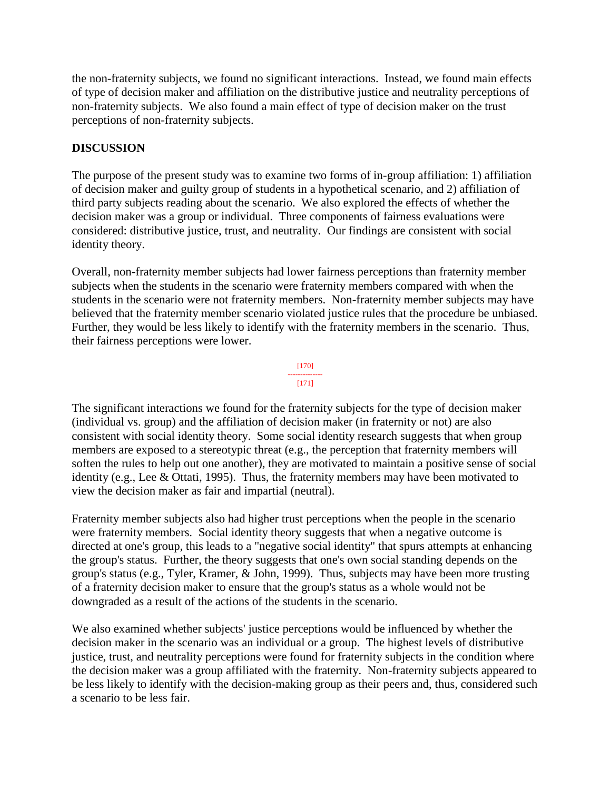the non-fraternity subjects, we found no significant interactions. Instead, we found main effects of type of decision maker and affiliation on the distributive justice and neutrality perceptions of non-fraternity subjects. We also found a main effect of type of decision maker on the trust perceptions of non-fraternity subjects.

### **DISCUSSION**

The purpose of the present study was to examine two forms of in-group affiliation: 1) affiliation of decision maker and guilty group of students in a hypothetical scenario, and 2) affiliation of third party subjects reading about the scenario. We also explored the effects of whether the decision maker was a group or individual. Three components of fairness evaluations were considered: distributive justice, trust, and neutrality. Our findings are consistent with social identity theory.

Overall, non-fraternity member subjects had lower fairness perceptions than fraternity member subjects when the students in the scenario were fraternity members compared with when the students in the scenario were not fraternity members. Non-fraternity member subjects may have believed that the fraternity member scenario violated justice rules that the procedure be unbiased. Further, they would be less likely to identify with the fraternity members in the scenario. Thus, their fairness perceptions were lower.



The significant interactions we found for the fraternity subjects for the type of decision maker (individual vs. group) and the affiliation of decision maker (in fraternity or not) are also consistent with social identity theory. Some social identity research suggests that when group members are exposed to a stereotypic threat (e.g., the perception that fraternity members will soften the rules to help out one another), they are motivated to maintain a positive sense of social identity (e.g., Lee & Ottati, 1995). Thus, the fraternity members may have been motivated to view the decision maker as fair and impartial (neutral).

Fraternity member subjects also had higher trust perceptions when the people in the scenario were fraternity members. Social identity theory suggests that when a negative outcome is directed at one's group, this leads to a "negative social identity" that spurs attempts at enhancing the group's status. Further, the theory suggests that one's own social standing depends on the group's status (e.g., Tyler, Kramer, & John, 1999). Thus, subjects may have been more trusting of a fraternity decision maker to ensure that the group's status as a whole would not be downgraded as a result of the actions of the students in the scenario.

We also examined whether subjects' justice perceptions would be influenced by whether the decision maker in the scenario was an individual or a group. The highest levels of distributive justice, trust, and neutrality perceptions were found for fraternity subjects in the condition where the decision maker was a group affiliated with the fraternity. Non-fraternity subjects appeared to be less likely to identify with the decision-making group as their peers and, thus, considered such a scenario to be less fair.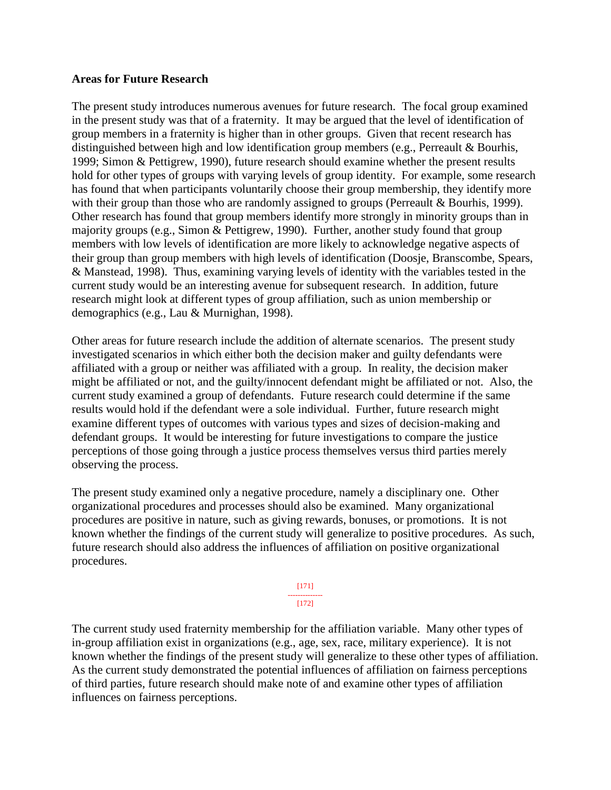### **Areas for Future Research**

The present study introduces numerous avenues for future research. The focal group examined in the present study was that of a fraternity. It may be argued that the level of identification of group members in a fraternity is higher than in other groups. Given that recent research has distinguished between high and low identification group members (e.g., Perreault & Bourhis, 1999; Simon & Pettigrew, 1990), future research should examine whether the present results hold for other types of groups with varying levels of group identity. For example, some research has found that when participants voluntarily choose their group membership, they identify more with their group than those who are randomly assigned to groups (Perreault & Bourhis, 1999). Other research has found that group members identify more strongly in minority groups than in majority groups (e.g., Simon & Pettigrew, 1990). Further, another study found that group members with low levels of identification are more likely to acknowledge negative aspects of their group than group members with high levels of identification (Doosje, Branscombe, Spears, & Manstead, 1998). Thus, examining varying levels of identity with the variables tested in the current study would be an interesting avenue for subsequent research. In addition, future research might look at different types of group affiliation, such as union membership or demographics (e.g., Lau & Murnighan, 1998).

Other areas for future research include the addition of alternate scenarios. The present study investigated scenarios in which either both the decision maker and guilty defendants were affiliated with a group or neither was affiliated with a group. In reality, the decision maker might be affiliated or not, and the guilty/innocent defendant might be affiliated or not. Also, the current study examined a group of defendants. Future research could determine if the same results would hold if the defendant were a sole individual. Further, future research might examine different types of outcomes with various types and sizes of decision-making and defendant groups. It would be interesting for future investigations to compare the justice perceptions of those going through a justice process themselves versus third parties merely observing the process.

The present study examined only a negative procedure, namely a disciplinary one. Other organizational procedures and processes should also be examined. Many organizational procedures are positive in nature, such as giving rewards, bonuses, or promotions. It is not known whether the findings of the current study will generalize to positive procedures. As such, future research should also address the influences of affiliation on positive organizational procedures.

### [171]

### -------------- [172]

The current study used fraternity membership for the affiliation variable. Many other types of in-group affiliation exist in organizations (e.g., age, sex, race, military experience). It is not known whether the findings of the present study will generalize to these other types of affiliation. As the current study demonstrated the potential influences of affiliation on fairness perceptions of third parties, future research should make note of and examine other types of affiliation influences on fairness perceptions.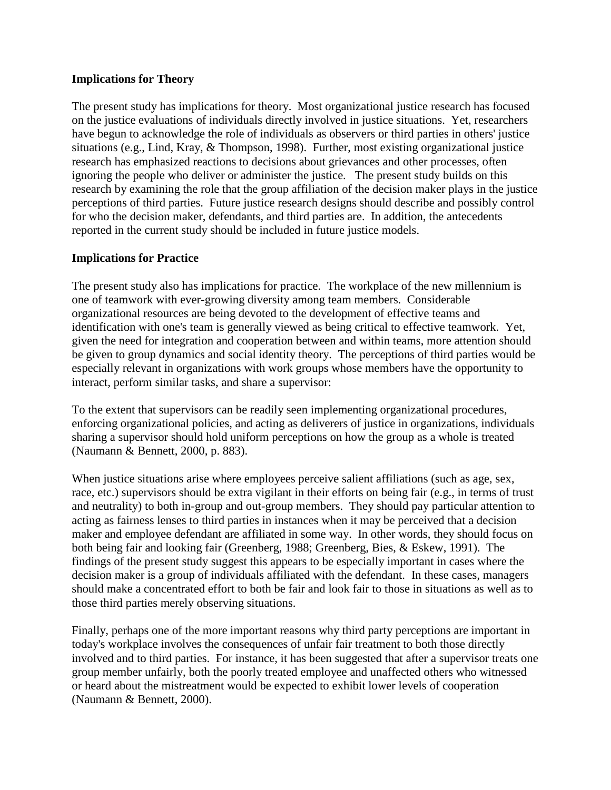### **Implications for Theory**

The present study has implications for theory. Most organizational justice research has focused on the justice evaluations of individuals directly involved in justice situations. Yet, researchers have begun to acknowledge the role of individuals as observers or third parties in others' justice situations (e.g., Lind, Kray, & Thompson, 1998). Further, most existing organizational justice research has emphasized reactions to decisions about grievances and other processes, often ignoring the people who deliver or administer the justice. The present study builds on this research by examining the role that the group affiliation of the decision maker plays in the justice perceptions of third parties. Future justice research designs should describe and possibly control for who the decision maker, defendants, and third parties are. In addition, the antecedents reported in the current study should be included in future justice models.

## **Implications for Practice**

The present study also has implications for practice. The workplace of the new millennium is one of teamwork with ever-growing diversity among team members. Considerable organizational resources are being devoted to the development of effective teams and identification with one's team is generally viewed as being critical to effective teamwork. Yet, given the need for integration and cooperation between and within teams, more attention should be given to group dynamics and social identity theory. The perceptions of third parties would be especially relevant in organizations with work groups whose members have the opportunity to interact, perform similar tasks, and share a supervisor:

To the extent that supervisors can be readily seen implementing organizational procedures, enforcing organizational policies, and acting as deliverers of justice in organizations, individuals sharing a supervisor should hold uniform perceptions on how the group as a whole is treated (Naumann & Bennett, 2000, p. 883).

When justice situations arise where employees perceive salient affiliations (such as age, sex, race, etc.) supervisors should be extra vigilant in their efforts on being fair (e.g., in terms of trust and neutrality) to both in-group and out-group members. They should pay particular attention to acting as fairness lenses to third parties in instances when it may be perceived that a decision maker and employee defendant are affiliated in some way. In other words, they should focus on both being fair and looking fair (Greenberg, 1988; Greenberg, Bies, & Eskew, 1991). The findings of the present study suggest this appears to be especially important in cases where the decision maker is a group of individuals affiliated with the defendant. In these cases, managers should make a concentrated effort to both be fair and look fair to those in situations as well as to those third parties merely observing situations.

Finally, perhaps one of the more important reasons why third party perceptions are important in today's workplace involves the consequences of unfair fair treatment to both those directly involved and to third parties. For instance, it has been suggested that after a supervisor treats one group member unfairly, both the poorly treated employee and unaffected others who witnessed or heard about the mistreatment would be expected to exhibit lower levels of cooperation (Naumann & Bennett, 2000).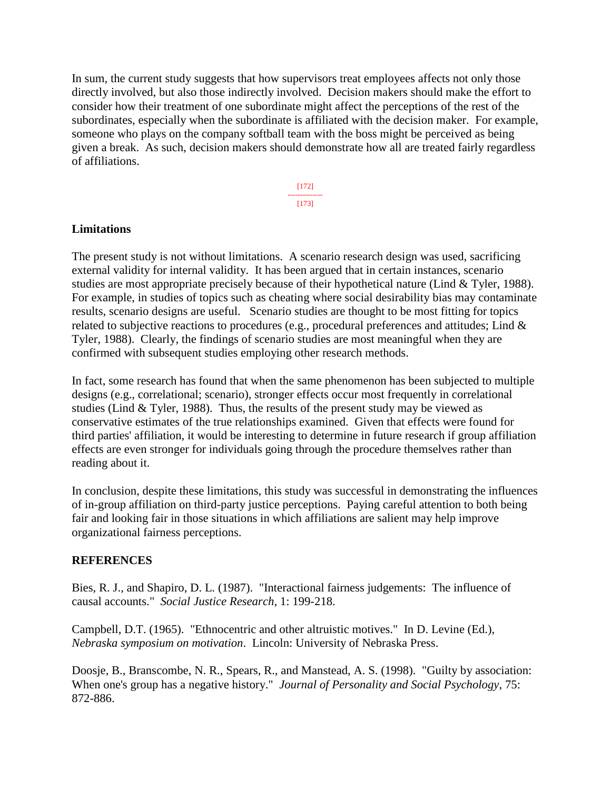In sum, the current study suggests that how supervisors treat employees affects not only those directly involved, but also those indirectly involved. Decision makers should make the effort to consider how their treatment of one subordinate might affect the perceptions of the rest of the subordinates, especially when the subordinate is affiliated with the decision maker. For example, someone who plays on the company softball team with the boss might be perceived as being given a break. As such, decision makers should demonstrate how all are treated fairly regardless of affiliations.

> [172] -------------- [173]

### **Limitations**

The present study is not without limitations. A scenario research design was used, sacrificing external validity for internal validity. It has been argued that in certain instances, scenario studies are most appropriate precisely because of their hypothetical nature (Lind & Tyler, 1988). For example, in studies of topics such as cheating where social desirability bias may contaminate results, scenario designs are useful. Scenario studies are thought to be most fitting for topics related to subjective reactions to procedures (e.g., procedural preferences and attitudes; Lind & Tyler, 1988). Clearly, the findings of scenario studies are most meaningful when they are confirmed with subsequent studies employing other research methods.

In fact, some research has found that when the same phenomenon has been subjected to multiple designs (e.g., correlational; scenario), stronger effects occur most frequently in correlational studies (Lind & Tyler, 1988). Thus, the results of the present study may be viewed as conservative estimates of the true relationships examined. Given that effects were found for third parties' affiliation, it would be interesting to determine in future research if group affiliation effects are even stronger for individuals going through the procedure themselves rather than reading about it.

In conclusion, despite these limitations, this study was successful in demonstrating the influences of in-group affiliation on third-party justice perceptions. Paying careful attention to both being fair and looking fair in those situations in which affiliations are salient may help improve organizational fairness perceptions.

### **REFERENCES**

Bies, R. J., and Shapiro, D. L. (1987). "Interactional fairness judgements: The influence of causal accounts." *Social Justice Research*, 1: 199-218.

Campbell, D.T. (1965). "Ethnocentric and other altruistic motives." In D. Levine (Ed.), *Nebraska symposium on motivation*. Lincoln: University of Nebraska Press.

Doosje, B., Branscombe, N. R., Spears, R., and Manstead, A. S. (1998). "Guilty by association: When one's group has a negative history." *Journal of Personality and Social Psychology*, 75: 872-886.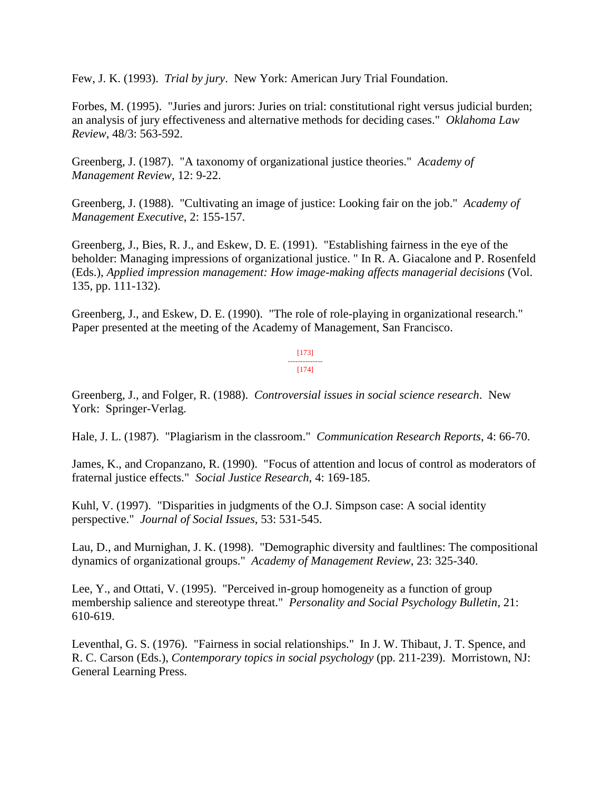Few, J. K. (1993). *Trial by jury*. New York: American Jury Trial Foundation.

Forbes, M. (1995). "Juries and jurors: Juries on trial: constitutional right versus judicial burden; an analysis of jury effectiveness and alternative methods for deciding cases." *Oklahoma Law Review*, 48/3: 563-592.

Greenberg, J. (1987). "A taxonomy of organizational justice theories." *Academy of Management Review*, 12: 9-22.

Greenberg, J. (1988). "Cultivating an image of justice: Looking fair on the job." *Academy of Management Executive*, 2: 155-157.

Greenberg, J., Bies, R. J., and Eskew, D. E. (1991). "Establishing fairness in the eye of the beholder: Managing impressions of organizational justice. " In R. A. Giacalone and P. Rosenfeld (Eds.), *Applied impression management: How image-making affects managerial decisions* (Vol. 135, pp. 111-132).

Greenberg, J., and Eskew, D. E. (1990). "The role of role-playing in organizational research." Paper presented at the meeting of the Academy of Management, San Francisco.

> [173] -------------- [174]

Greenberg, J., and Folger, R. (1988). *Controversial issues in social science research*. New York: Springer-Verlag.

Hale, J. L. (1987). "Plagiarism in the classroom." *Communication Research Reports*, 4: 66-70.

James, K., and Cropanzano, R. (1990). "Focus of attention and locus of control as moderators of fraternal justice effects." *Social Justice Research*, 4: 169-185.

Kuhl, V. (1997). "Disparities in judgments of the O.J. Simpson case: A social identity perspective." *Journal of Social Issues*, 53: 531-545.

Lau, D., and Murnighan, J. K. (1998). "Demographic diversity and faultlines: The compositional dynamics of organizational groups." *Academy of Management Review*, 23: 325-340.

Lee, Y., and Ottati, V. (1995). "Perceived in-group homogeneity as a function of group membership salience and stereotype threat." *Personality and Social Psychology Bulletin*, 21: 610-619.

Leventhal, G. S. (1976). "Fairness in social relationships." In J. W. Thibaut, J. T. Spence, and R. C. Carson (Eds.), *Contemporary topics in social psychology* (pp. 211-239). Morristown, NJ: General Learning Press.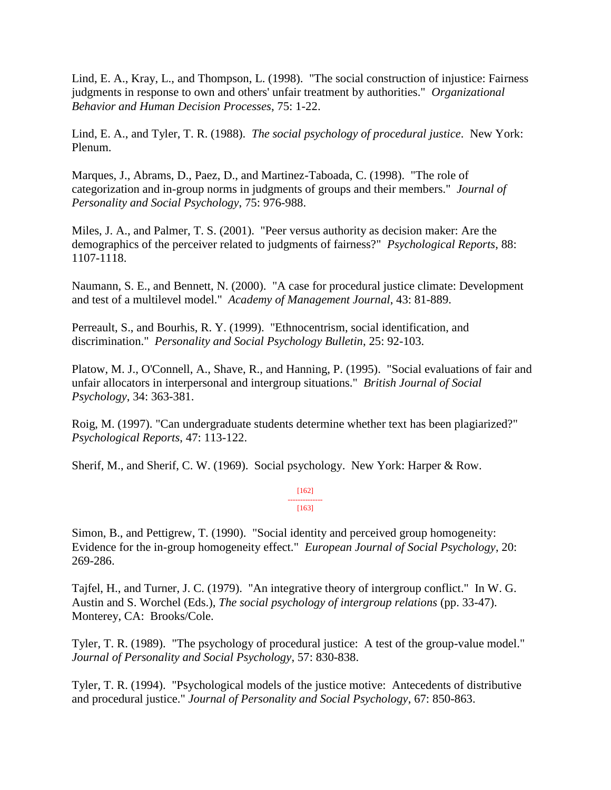Lind, E. A., Kray, L., and Thompson, L. (1998). "The social construction of injustice: Fairness judgments in response to own and others' unfair treatment by authorities." *Organizational Behavior and Human Decision Processes*, 75: 1-22.

Lind, E. A., and Tyler, T. R. (1988). *The social psychology of procedural justice*. New York: Plenum.

Marques, J., Abrams, D., Paez, D., and Martinez-Taboada, C. (1998). "The role of categorization and in-group norms in judgments of groups and their members." *Journal of Personality and Social Psychology*, 75: 976-988.

Miles, J. A., and Palmer, T. S. (2001). "Peer versus authority as decision maker: Are the demographics of the perceiver related to judgments of fairness?" *Psychological Reports*, 88: 1107-1118.

Naumann, S. E., and Bennett, N. (2000). "A case for procedural justice climate: Development and test of a multilevel model." *Academy of Management Journal*, 43: 81-889.

Perreault, S., and Bourhis, R. Y. (1999). "Ethnocentrism, social identification, and discrimination." *Personality and Social Psychology Bulletin*, 25: 92-103.

Platow, M. J., O'Connell, A., Shave, R., and Hanning, P. (1995). "Social evaluations of fair and unfair allocators in interpersonal and intergroup situations." *British Journal of Social Psychology*, 34: 363-381.

Roig, M. (1997). "Can undergraduate students determine whether text has been plagiarized?" *Psychological Reports*, 47: 113-122.

Sherif, M., and Sherif, C. W. (1969). Social psychology. New York: Harper & Row.

### [162] -------------- [163]

Simon, B., and Pettigrew, T. (1990). "Social identity and perceived group homogeneity: Evidence for the in-group homogeneity effect." *European Journal of Social Psychology*, 20: 269-286.

Tajfel, H., and Turner, J. C. (1979). "An integrative theory of intergroup conflict." In W. G. Austin and S. Worchel (Eds.), *The social psychology of intergroup relations* (pp. 33-47). Monterey, CA: Brooks/Cole.

Tyler, T. R. (1989). "The psychology of procedural justice: A test of the group-value model." *Journal of Personality and Social Psychology*, 57: 830-838.

Tyler, T. R. (1994). "Psychological models of the justice motive: Antecedents of distributive and procedural justice." *Journal of Personality and Social Psychology*, 67: 850-863.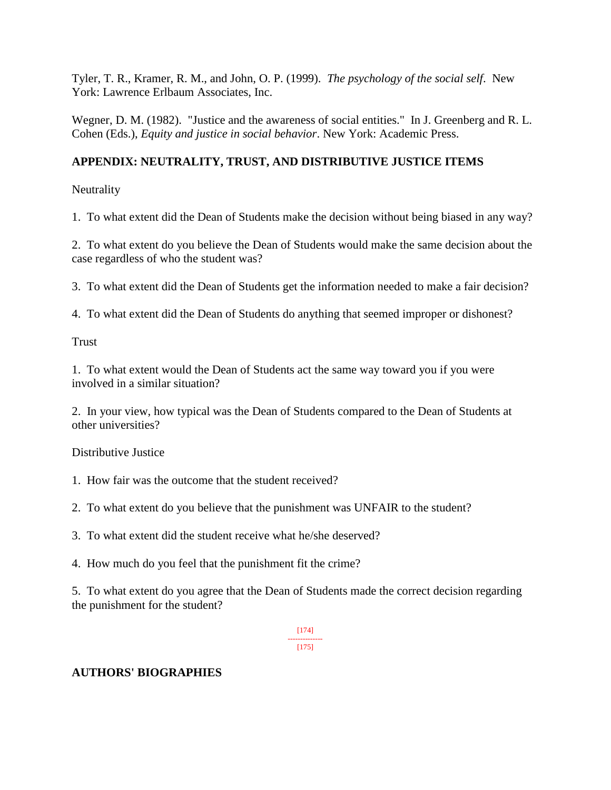Tyler, T. R., Kramer, R. M., and John, O. P. (1999). *The psychology of the social self*. New York: Lawrence Erlbaum Associates, Inc.

Wegner, D. M. (1982). "Justice and the awareness of social entities." In J. Greenberg and R. L. Cohen (Eds.), *Equity and justice in social behavior*. New York: Academic Press.

# **APPENDIX: NEUTRALITY, TRUST, AND DISTRIBUTIVE JUSTICE ITEMS**

**Neutrality** 

1. To what extent did the Dean of Students make the decision without being biased in any way?

2. To what extent do you believe the Dean of Students would make the same decision about the case regardless of who the student was?

3. To what extent did the Dean of Students get the information needed to make a fair decision?

4. To what extent did the Dean of Students do anything that seemed improper or dishonest?

Trust

1. To what extent would the Dean of Students act the same way toward you if you were involved in a similar situation?

2. In your view, how typical was the Dean of Students compared to the Dean of Students at other universities?

Distributive Justice

- 1. How fair was the outcome that the student received?
- 2. To what extent do you believe that the punishment was UNFAIR to the student?
- 3. To what extent did the student receive what he/she deserved?
- 4. How much do you feel that the punishment fit the crime?

5. To what extent do you agree that the Dean of Students made the correct decision regarding the punishment for the student?

> [174] -------------- [175]

# **AUTHORS' BIOGRAPHIES**